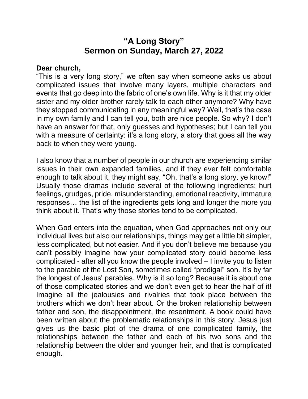## **"A Long Story" Sermon on Sunday, March 27, 2022**

## **Dear church,**

"This is a very long story," we often say when someone asks us about complicated issues that involve many layers, multiple characters and events that go deep into the fabric of one's own life. Why is it that my older sister and my older brother rarely talk to each other anymore? Why have they stopped communicating in any meaningful way? Well, that's the case in my own family and I can tell you, both are nice people. So why? I don't have an answer for that, only guesses and hypotheses; but I can tell you with a measure of certainty: it's a long story, a story that goes all the way back to when they were young.

I also know that a number of people in our church are experiencing similar issues in their own expanded families, and if they ever felt comfortable enough to talk about it, they might say, "Oh, that's a long story, ye know!" Usually those dramas include several of the following ingredients: hurt feelings, grudges, pride, misunderstanding, emotional reactivity, immature responses… the list of the ingredients gets long and longer the more you think about it. That's why those stories tend to be complicated.

When God enters into the equation, when God approaches not only our individual lives but also our relationships, things may get a little bit simpler, less complicated, but not easier. And if you don't believe me because you can't possibly imagine how your complicated story could become less complicated - after all you know the people involved – I invite you to listen to the parable of the Lost Son, sometimes called "prodigal" son. It's by far the longest of Jesus' parables. Why is it so long? Because it is about one of those complicated stories and we don't even get to hear the half of it! Imagine all the jealousies and rivalries that took place between the brothers which we don't hear about. Or the broken relationship between father and son, the disappointment, the resentment. A book could have been written about the problematic relationships in this story. Jesus just gives us the basic plot of the drama of one complicated family, the relationships between the father and each of his two sons and the relationship between the older and younger heir, and that is complicated enough.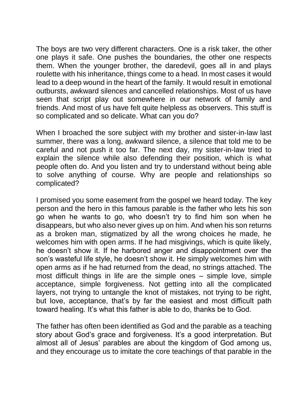The boys are two very different characters. One is a risk taker, the other one plays it safe. One pushes the boundaries, the other one respects them. When the younger brother, the daredevil, goes all in and plays roulette with his inheritance, things come to a head. In most cases it would lead to a deep wound in the heart of the family. It would result in emotional outbursts, awkward silences and cancelled relationships. Most of us have seen that script play out somewhere in our network of family and friends. And most of us have felt quite helpless as observers. This stuff is so complicated and so delicate. What can you do?

When I broached the sore subject with my brother and sister-in-law last summer, there was a long, awkward silence, a silence that told me to be careful and not push it too far. The next day, my sister-in-law tried to explain the silence while also defending their position, which is what people often do. And you listen and try to understand without being able to solve anything of course. Why are people and relationships so complicated?

I promised you some easement from the gospel we heard today. The key person and the hero in this famous parable is the father who lets his son go when he wants to go, who doesn't try to find him son when he disappears, but who also never gives up on him. And when his son returns as a broken man, stigmatized by all the wrong choices he made, he welcomes him with open arms. If he had misgivings, which is quite likely, he doesn't show it. If he harbored anger and disappointment over the son's wasteful life style, he doesn't show it. He simply welcomes him with open arms as if he had returned from the dead, no strings attached. The most difficult things in life are the simple ones – simple love, simple acceptance, simple forgiveness. Not getting into all the complicated layers, not trying to untangle the knot of mistakes, not trying to be right, but love, acceptance, that's by far the easiest and most difficult path toward healing. It's what this father is able to do, thanks be to God.

The father has often been identified as God and the parable as a teaching story about God's grace and forgiveness. It's a good interpretation. But almost all of Jesus' parables are about the kingdom of God among us, and they encourage us to imitate the core teachings of that parable in the